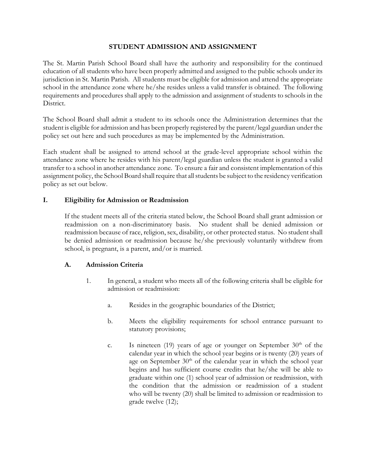## **STUDENT ADMISSION AND ASSIGNMENT**

The St. Martin Parish School Board shall have the authority and responsibility for the continued education of all students who have been properly admitted and assigned to the public schools under its jurisdiction in St. Martin Parish. All students must be eligible for admission and attend the appropriate school in the attendance zone where he/she resides unless a valid transfer is obtained. The following requirements and procedures shall apply to the admission and assignment of students to schools in the District.

The School Board shall admit a student to its schools once the Administration determines that the student is eligible for admission and has been properly registered by the parent/legal guardian under the policy set out here and such procedures as may be implemented by the Administration.

Each student shall be assigned to attend school at the grade-level appropriate school within the attendance zone where he resides with his parent/legal guardian unless the student is granted a valid transfer to a school in another attendance zone. To ensure a fair and consistent implementation of this assignment policy, the School Board shall require that all students be subject to the residency verification policy as set out below.

## **I. Eligibility for Admission or Readmission**

If the student meets all of the criteria stated below, the School Board shall grant admission or readmission on a non-discriminatory basis. No student shall be denied admission or readmission because of race, religion, sex, disability, or other protected status. No student shall be denied admission or readmission because he/she previously voluntarily withdrew from school, is pregnant, is a parent, and/or is married.

## **A. Admission Criteria**

- 1. In general, a student who meets all of the following criteria shall be eligible for admission or readmission:
	- a. Resides in the geographic boundaries of the District;
	- b. Meets the eligibility requirements for school entrance pursuant to statutory provisions;
	- c. Is nineteen (19) years of age or younger on September  $30<sup>th</sup>$  of the calendar year in which the school year begins or is twenty (20) years of age on September  $30<sup>th</sup>$  of the calendar year in which the school year begins and has sufficient course credits that he/she will be able to graduate within one (1) school year of admission or readmission, with the condition that the admission or readmission of a student who will be twenty (20) shall be limited to admission or readmission to grade twelve (12);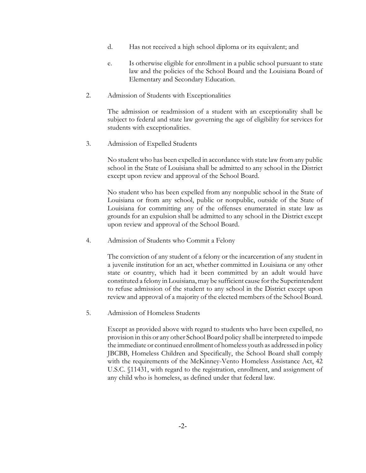- d. Has not received a high school diploma or its equivalent; and
- e. Is otherwise eligible for enrollment in a public school pursuant to state law and the policies of the School Board and the Louisiana Board of Elementary and Secondary Education.
- 2. Admission of Students with Exceptionalities

The admission or readmission of a student with an exceptionality shall be subject to federal and state law governing the age of eligibility for services for students with exceptionalities.

3. Admission of Expelled Students

No student who has been expelled in accordance with state law from any public school in the State of Louisiana shall be admitted to any school in the District except upon review and approval of the School Board.

No student who has been expelled from any nonpublic school in the State of Louisiana or from any school, public or nonpublic, outside of the State of Louisiana for committing any of the offenses enumerated in state law as grounds for an expulsion shall be admitted to any school in the District except upon review and approval of the School Board.

4. Admission of Students who Commit a Felony

The conviction of any student of a felony or the incarceration of any student in a juvenile institution for an act, whether committed in Louisiana or any other state or country, which had it been committed by an adult would have constituted a felony in Louisiana, may be sufficient cause for the Superintendent to refuse admission of the student to any school in the District except upon review and approval of a majority of the elected members of the School Board.

5. Admission of Homeless Students

Except as provided above with regard to students who have been expelled, no provision in this or any other School Board policy shall be interpreted to impede the immediate or continued enrollment of homeless youth as addressed in policy JBCBB, Homeless Children and Specifically, the School Board shall comply with the requirements of the McKinney-Vento Homeless Assistance Act, 42 U.S.C. §11431, with regard to the registration, enrollment, and assignment of any child who is homeless, as defined under that federal law.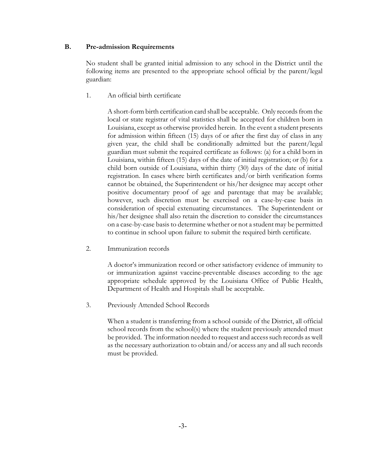### **B. Pre-admission Requirements**

No student shall be granted initial admission to any school in the District until the following items are presented to the appropriate school official by the parent/legal guardian:

1. An official birth certificate

A short-form birth certification card shall be acceptable. Only records from the local or state registrar of vital statistics shall be accepted for children born in Louisiana, except as otherwise provided herein. In the event a student presents for admission within fifteen (15) days of or after the first day of class in any given year, the child shall be conditionally admitted but the parent/legal guardian must submit the required certificate as follows: (a) for a child born in Louisiana, within fifteen (15) days of the date of initial registration; or (b) for a child born outside of Louisiana, within thirty (30) days of the date of initial registration. In cases where birth certificates and/or birth verification forms cannot be obtained, the Superintendent or his/her designee may accept other positive documentary proof of age and parentage that may be available; however, such discretion must be exercised on a case-by-case basis in consideration of special extenuating circumstances. The Superintendent or his/her designee shall also retain the discretion to consider the circumstances on a case-by-case basis to determine whether or not a student may be permitted to continue in school upon failure to submit the required birth certificate.

2. Immunization records

A doctor's immunization record or other satisfactory evidence of immunity to or immunization against vaccine-preventable diseases according to the age appropriate schedule approved by the Louisiana Office of Public Health, Department of Health and Hospitals shall be acceptable.

3. Previously Attended School Records

When a student is transferring from a school outside of the District, all official school records from the school(s) where the student previously attended must be provided. The information needed to request and accesssuch records aswell as the necessary authorization to obtain and/or access any and all such records must be provided.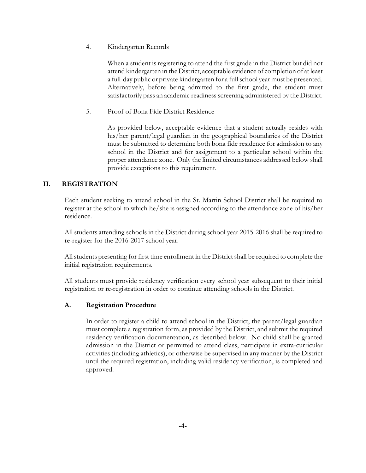4. Kindergarten Records

When a student is registering to attend the first grade in the District but did not attend kindergarten in the District, acceptable evidence of completion of at least a full-day public or private kindergarten for a full school year must be presented. Alternatively, before being admitted to the first grade, the student must satisfactorily pass an academic readiness screening administered by the District.

5. Proof of Bona Fide District Residence

As provided below, acceptable evidence that a student actually resides with his/her parent/legal guardian in the geographical boundaries of the District must be submitted to determine both bona fide residence for admission to any school in the District and for assignment to a particular school within the proper attendance zone. Only the limited circumstances addressed below shall provide exceptions to this requirement.

# **II. REGISTRATION**

Each student seeking to attend school in the St. Martin School District shall be required to register at the school to which he/she is assigned according to the attendance zone of his/her residence.

All students attending schools in the District during school year 2015-2016 shall be required to re-register for the 2016-2017 school year.

All students presenting for first time enrollment in the District shall be required to complete the initial registration requirements.

All students must provide residency verification every school year subsequent to their initial registration or re-registration in order to continue attending schools in the District.

## **A. Registration Procedure**

In order to register a child to attend school in the District, the parent/legal guardian must complete a registration form, as provided by the District, and submit the required residency verification documentation, as described below. No child shall be granted admission in the District or permitted to attend class, participate in extra-curricular activities (including athletics), or otherwise be supervised in any manner by the District until the required registration, including valid residency verification, is completed and approved.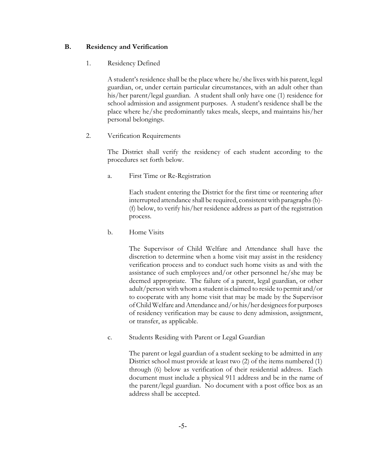### **B. Residency and Verification**

### 1. Residency Defined

A student's residence shall be the place where he/she lives with his parent, legal guardian, or, under certain particular circumstances, with an adult other than his/her parent/legal guardian. A student shall only have one (1) residence for school admission and assignment purposes. A student's residence shall be the place where he/she predominantly takes meals, sleeps, and maintains his/her personal belongings.

### 2. Verification Requirements

The District shall verify the residency of each student according to the procedures set forth below.

a. First Time or Re-Registration

Each student entering the District for the first time or reentering after interrupted attendance shall be required, consistent with paragraphs(b)- (f) below, to verify his/her residence address as part of the registration process.

b. Home Visits

The Supervisor of Child Welfare and Attendance shall have the discretion to determine when a home visit may assist in the residency verification process and to conduct such home visits as and with the assistance of such employees and/or other personnel he/she may be deemed appropriate. The failure of a parent, legal guardian, or other adult/person with whom a student is claimed to reside to permit and/or to cooperate with any home visit that may be made by the Supervisor of Child Welfare and Attendance and/or his/her designees for purposes of residency verification may be cause to deny admission, assignment, or transfer, as applicable.

c. Students Residing with Parent or Legal Guardian

The parent or legal guardian of a student seeking to be admitted in any District school must provide at least two (2) of the items numbered (1) through (6) below as verification of their residential address. Each document must include a physical 911 address and be in the name of the parent/legal guardian. No document with a post office box as an address shall be accepted.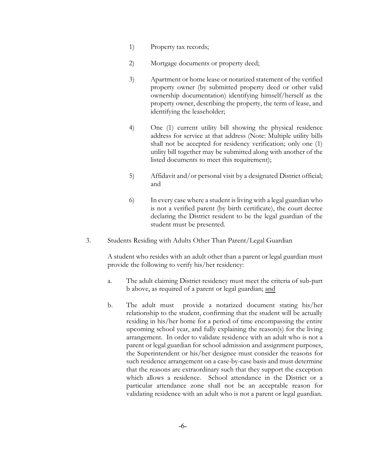- 1) Property tax records;
- 2) Mortgage documents or property deed;
- 3) Apartment or home lease or notarized statement of the verified property owner (by submitted property deed or other valid ownership documentation) identifying himself/herself as the property owner, describing the property, the term of lease, and identifying the leaseholder;
- 4) One (1) current utility bill showing the physical residence address for service at that address (Note: Multiple utility bills shall not be accepted for residency verification; only one (1) utility bill together may be submitted along with another of the listed documents to meet this requirement);
- 5) Affidavit and/or personal visit by a designated District official; and
- 6) In every case where a student is living with a legal guardian who is not a verified parent (by birth certificate), the court decree declaring the District resident to be the legal guardian of the student must be presented.
- 3. Students Residing with Adults Other Than Parent/Legal Guardian

A student who resides with an adult other than a parent or legal guardian must provide the following to verify his/her residency:

- a. The adult claiming District residency must meet the criteria of sub-part b above, as required of a parent or legal guardian; and
- b. The adult must provide a notarized document stating his/her relationship to the student, confirming that the student will be actually residing in his/her home for a period of time encompassing the entire upcoming school year, and fully explaining the reason(s) for the living arrangement. In order to validate residence with an adult who is not a parent or legal guardian for school admission and assignment purposes, the Superintendent or his/her designee must consider the reasons for such residence arrangement on a case-by-case basis and must determine that the reasons are extraordinary such that they support the exception which allows a residence. School attendance in the District or a particular attendance zone shall not be an acceptable reason for validating residence with an adult who is not a parent or legal guardian.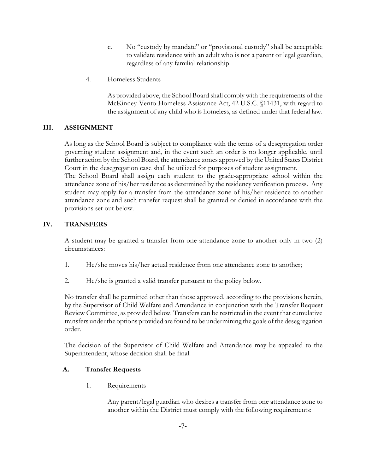- c. No "custody by mandate" or "provisional custody" shall be acceptable to validate residence with an adult who is not a parent or legal guardian, regardless of any familial relationship.
- 4. Homeless Students

As provided above, the School Board shall comply with the requirements of the McKinney-Vento Homeless Assistance Act, 42 U.S.C. §11431, with regard to the assignment of any child who is homeless, as defined under that federal law.

## **III. ASSIGNMENT**

As long as the School Board is subject to compliance with the terms of a desegregation order governing student assignment and, in the event such an order is no longer applicable, until further action by the School Board, the attendance zones approved by the United States District Court in the desegregation case shall be utilized for purposes of student assignment.

The School Board shall assign each student to the grade-appropriate school within the attendance zone of his/her residence as determined by the residency verification process. Any student may apply for a transfer from the attendance zone of his/her residence to another attendance zone and such transfer request shall be granted or denied in accordance with the provisions set out below.

### **IV. TRANSFERS**

A student may be granted a transfer from one attendance zone to another only in two (2) circumstances:

- 1. He/she moves his/her actual residence from one attendance zone to another;
- 2. He/she is granted a valid transfer pursuant to the policy below.

No transfer shall be permitted other than those approved, according to the provisions herein, by the Supervisor of Child Welfare and Attendance in conjunction with the Transfer Request Review Committee, as provided below. Transfers can be restricted in the event that cumulative transfers under the options provided are found to be undermining the goals of the desegregation order.

The decision of the Supervisor of Child Welfare and Attendance may be appealed to the Superintendent, whose decision shall be final.

## **A. Transfer Requests**

1. Requirements

Any parent/legal guardian who desires a transfer from one attendance zone to another within the District must comply with the following requirements: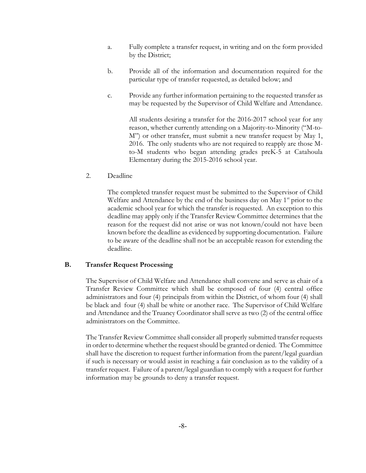- a. Fully complete a transfer request, in writing and on the form provided by the District;
- b. Provide all of the information and documentation required for the particular type of transfer requested, as detailed below; and
- c. Provide any further information pertaining to the requested transfer as may be requested by the Supervisor of Child Welfare and Attendance.

All students desiring a transfer for the 2016-2017 school year for any reason, whether currently attending on a Majority-to-Minority ("M-to-M") or other transfer, must submit a new transfer request by May 1, 2016. The only students who are not required to reapply are those Mto-M students who began attending grades preK-5 at Catahoula Elementary during the 2015-2016 school year.

2. Deadline

The completed transfer request must be submitted to the Supervisor of Child Welfare and Attendance by the end of the business day on May 1<sup>st</sup> prior to the academic school year for which the transfer is requested. An exception to this deadline may apply only if the Transfer Review Committee determines that the reason for the request did not arise or was not known/could not have been known before the deadline as evidenced by supporting documentation. Failure to be aware of the deadline shall not be an acceptable reason for extending the deadline.

#### **B. Transfer Request Processing**

The Supervisor of Child Welfare and Attendance shall convene and serve as chair of a Transfer Review Committee which shall be composed of four (4) central office administrators and four (4) principals from within the District, of whom four (4) shall be black and four (4) shall be white or another race. The Supervisor of Child Welfare and Attendance and the Truancy Coordinator shall serve as two (2) of the central office administrators on the Committee.

The Transfer Review Committee shall consider all properly submitted transfer requests in order to determine whether the requestshould be granted or denied. The Committee shall have the discretion to request further information from the parent/legal guardian if such is necessary or would assist in reaching a fair conclusion as to the validity of a transfer request. Failure of a parent/legal guardian to comply with a request for further information may be grounds to deny a transfer request.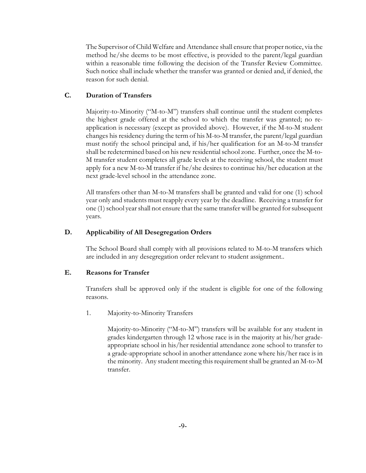The Supervisor of Child Welfare and Attendance shall ensure that proper notice, via the method he/she deems to be most effective, is provided to the parent/legal guardian within a reasonable time following the decision of the Transfer Review Committee. Such notice shall include whether the transfer was granted or denied and, if denied, the reason for such denial.

## **C. Duration of Transfers**

Majority-to-Minority ("M-to-M") transfers shall continue until the student completes the highest grade offered at the school to which the transfer was granted; no reapplication is necessary (except as provided above). However, if the M-to-M student changes his residency during the term of his M-to-M transfer, the parent/legal guardian must notify the school principal and, if his/her qualification for an M-to-M transfer shall be redetermined based on his new residential school zone. Further, once the M-to-M transfer student completes all grade levels at the receiving school, the student must apply for a new M-to-M transfer if he/she desires to continue his/her education at the next grade-level school in the attendance zone.

All transfers other than M-to-M transfers shall be granted and valid for one (1) school year only and students must reapply every year by the deadline. Receiving a transfer for one (1) school year shall not ensure that the same transfer will be granted for subsequent years.

#### **D. Applicability of All Desegregation Orders**

The School Board shall comply with all provisions related to M-to-M transfers which are included in any desegregation order relevant to student assignment..

#### **E. Reasons for Transfer**

Transfers shall be approved only if the student is eligible for one of the following reasons.

1. Majority-to-Minority Transfers

Majority-to-Minority ("M-to-M") transfers will be available for any student in grades kindergarten through 12 whose race is in the majority at his/her gradeappropriate school in his/her residential attendance zone school to transfer to a grade-appropriate school in another attendance zone where his/her race is in the minority. Any student meeting this requirement shall be granted an M-to-M transfer.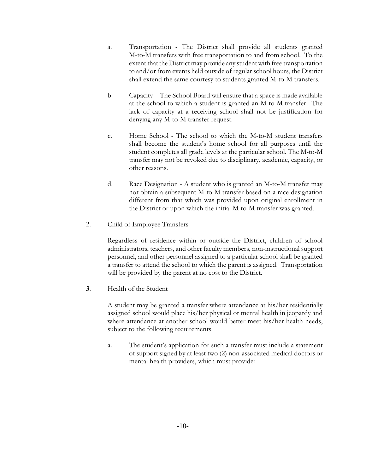- a. Transportation The District shall provide all students granted M-to-M transfers with free transportation to and from school. To the extent that the District may provide any student with free transportation to and/or from events held outside of regular school hours, the District shall extend the same courtesy to students granted M-to-M transfers.
- b. Capacity The School Board will ensure that a space is made available at the school to which a student is granted an M-to-M transfer. The lack of capacity at a receiving school shall not be justification for denying any M-to-M transfer request.
- c. Home School The school to which the M-to-M student transfers shall become the student's home school for all purposes until the student completes all grade levels at the particular school. The M-to-M transfer may not be revoked due to disciplinary, academic, capacity, or other reasons.
- d. Race Designation A student who is granted an M-to-M transfer may not obtain a subsequent M-to-M transfer based on a race designation different from that which was provided upon original enrollment in the District or upon which the initial M-to-M transfer was granted.
- 2. Child of Employee Transfers

Regardless of residence within or outside the District, children of school administrators, teachers, and other faculty members, non-instructional support personnel, and other personnel assigned to a particular school shall be granted a transfer to attend the school to which the parent is assigned. Transportation will be provided by the parent at no cost to the District.

**3**. Health of the Student

A student may be granted a transfer where attendance at his/her residentially assigned school would place his/her physical or mental health in jeopardy and where attendance at another school would better meet his/her health needs, subject to the following requirements.

a. The student's application for such a transfer must include a statement of support signed by at least two (2) non-associated medical doctors or mental health providers, which must provide: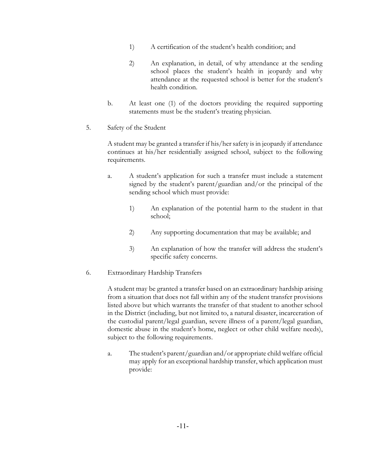- 1) A certification of the student's health condition; and
- 2) An explanation, in detail, of why attendance at the sending school places the student's health in jeopardy and why attendance at the requested school is better for the student's health condition.
- b. At least one (1) of the doctors providing the required supporting statements must be the student's treating physician.
- 5. Safety of the Student

A student may be granted a transfer if his/her safety is in jeopardy if attendance continues at his/her residentially assigned school, subject to the following requirements.

- a. A student's application for such a transfer must include a statement signed by the student's parent/guardian and/or the principal of the sending school which must provide:
	- 1) An explanation of the potential harm to the student in that school;
	- 2) Any supporting documentation that may be available; and
	- 3) An explanation of how the transfer will address the student's specific safety concerns.
- 6. Extraordinary Hardship Transfers

A student may be granted a transfer based on an extraordinary hardship arising from a situation that does not fall within any of the student transfer provisions listed above but which warrants the transfer of that student to another school in the District (including, but not limited to, a natural disaster, incarceration of the custodial parent/legal guardian, severe illness of a parent/legal guardian, domestic abuse in the student's home, neglect or other child welfare needs), subject to the following requirements.

a. The student's parent/guardian and/or appropriate child welfare official may apply for an exceptional hardship transfer, which application must provide: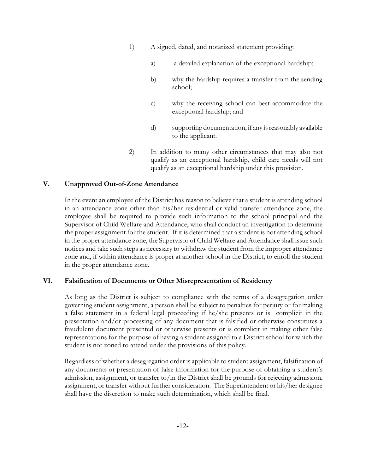- 1) A signed, dated, and notarized statement providing:
	- a) a detailed explanation of the exceptional hardship;
	- b) why the hardship requires a transfer from the sending school;
	- c) why the receiving school can best accommodate the exceptional hardship; and
	- d) supporting documentation, if any is reasonably available to the applicant.
- 2) In addition to many other circumstances that may also not qualify as an exceptional hardship, child care needs will not qualify as an exceptional hardship under this provision.

## **V. Unapproved Out-of-Zone Attendance**

In the event an employee of the District has reason to believe that a student is attending school in an attendance zone other than his/her residential or valid transfer attendance zone, the employee shall be required to provide such information to the school principal and the Supervisor of Child Welfare and Attendance, who shall conduct an investigation to determine the proper assignment for the student. If it is determined that a student is not attending school in the proper attendance zone, the Supervisor of Child Welfare and Attendance shall issue such notices and take such steps as necessary to withdraw the student from the improper attendance zone and, if within attendance is proper at another school in the District, to enroll the student in the proper attendance zone.

#### **VI. Falsification of Documents or Other Misrepresentation of Residency**

As long as the District is subject to compliance with the terms of a desegregation order governing student assignment, a person shall be subject to penalties for perjury or for making a false statement in a federal legal proceeding if he/she presents or is complicit in the presentation and/or processing of any document that is falsified or otherwise constitutes a fraudulent document presented or otherwise presents or is complicit in making other false representations for the purpose of having a student assigned to a District school for which the student is not zoned to attend under the provisions of this policy.

Regardless of whether a desegregation order is applicable to student assignment, falsification of any documents or presentation of false information for the purpose of obtaining a student's admission, assignment, or transfer to/in the District shall be grounds for rejecting admission, assignment, or transfer without further consideration. The Superintendent or his/her designee shall have the discretion to make such determination, which shall be final.